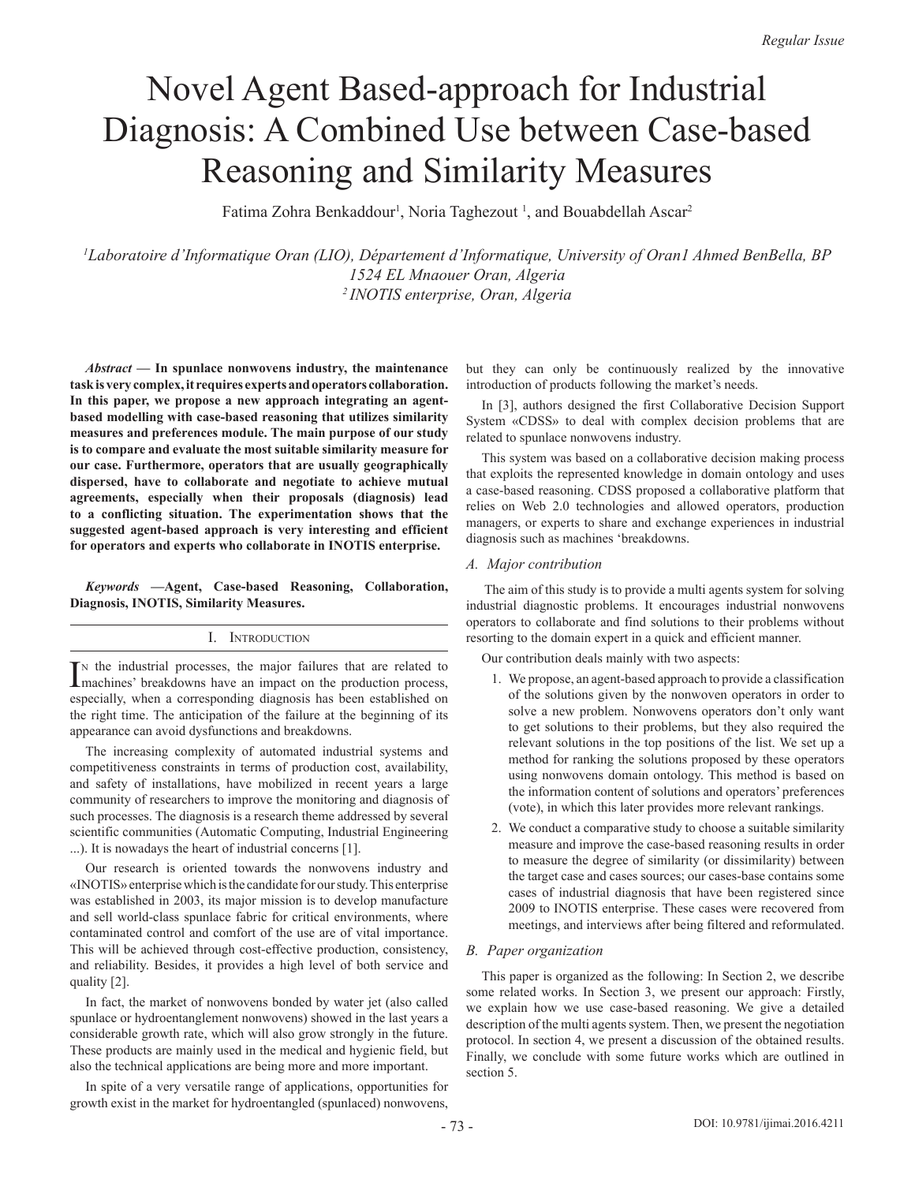# Novel Agent Based-approach for Industrial Diagnosis: A Combined Use between Case-based Reasoning and Similarity Measures

Fatima Zohra Benkaddour<sup>1</sup>, Noria Taghezout<sup>1</sup>, and Bouabdellah Ascar<sup>2</sup>

*1 Laboratoire d'Informatique Oran (LIO), Département d'Informatique, University of Oran1 Ahmed BenBella, BP 1524 EL Mnaouer Oran, Algeria 2 INOTIS enterprise, Oran, Algeria*

*Abstract* **— In spunlace nonwovens industry, the maintenance task is very complex, it requires experts and operators collaboration. In this paper, we propose a new approach integrating an agentbased modelling with case-based reasoning that utilizes similarity measures and preferences module. The main purpose of our study is to compare and evaluate the most suitable similarity measure for our case. Furthermore, operators that are usually geographically dispersed, have to collaborate and negotiate to achieve mutual agreements, especially when their proposals (diagnosis) lead to a conflicting situation. The experimentation shows that the suggested agent-based approach is very interesting and efficient for operators and experts who collaborate in INOTIS enterprise.**

*Keywords* **—Agent, Case-based Reasoning, Collaboration, Diagnosis, INOTIS, Similarity Measures.**

## I. Introduction

IN the industrial processes, the major failures that are related to machines' breakdowns have an impact on the production process, n the industrial processes, the major failures that are related to especially, when a corresponding diagnosis has been established on the right time. The anticipation of the failure at the beginning of its appearance can avoid dysfunctions and breakdowns.

The increasing complexity of automated industrial systems and competitiveness constraints in terms of production cost, availability, and safety of installations, have mobilized in recent years a large community of researchers to improve the monitoring and diagnosis of such processes. The diagnosis is a research theme addressed by several scientific communities (Automatic Computing, Industrial Engineering ...). It is nowadays the heart of industrial concerns [1].

Our research is oriented towards the nonwovens industry and «INOTIS» enterprise which is the candidate for our study. This enterprise was established in 2003, its major mission is to develop manufacture and sell world-class spunlace fabric for critical environments, where contaminated control and comfort of the use are of vital importance. This will be achieved through cost-effective production, consistency, and reliability. Besides, it provides a high level of both service and quality [2].

In fact, the market of nonwovens bonded by water jet (also called spunlace or hydroentanglement nonwovens) showed in the last years a considerable growth rate, which will also grow strongly in the future. These products are mainly used in the medical and hygienic field, but also the technical applications are being more and more important.

In spite of a very versatile range of applications, opportunities for growth exist in the market for hydroentangled (spunlaced) nonwovens, but they can only be continuously realized by the innovative introduction of products following the market's needs.

In [3], authors designed the first Collaborative Decision Support System «CDSS» to deal with complex decision problems that are related to spunlace nonwovens industry.

This system was based on a collaborative decision making process that exploits the represented knowledge in domain ontology and uses a case-based reasoning. CDSS proposed a collaborative platform that relies on Web 2.0 technologies and allowed operators, production managers, or experts to share and exchange experiences in industrial diagnosis such as machines 'breakdowns.

# *A. Major contribution*

 The aim of this study is to provide a multi agents system for solving industrial diagnostic problems. It encourages industrial nonwovens operators to collaborate and find solutions to their problems without resorting to the domain expert in a quick and efficient manner.

Our contribution deals mainly with two aspects:

- 1. We propose, an agent-based approach to provide a classification of the solutions given by the nonwoven operators in order to solve a new problem. Nonwovens operators don't only want to get solutions to their problems, but they also required the relevant solutions in the top positions of the list. We set up a method for ranking the solutions proposed by these operators using nonwovens domain ontology. This method is based on the information content of solutions and operators' preferences (vote), in which this later provides more relevant rankings.
- 2. We conduct a comparative study to choose a suitable similarity measure and improve the case-based reasoning results in order to measure the degree of similarity (or dissimilarity) between the target case and cases sources; our cases-base contains some cases of industrial diagnosis that have been registered since 2009 to INOTIS enterprise. These cases were recovered from meetings, and interviews after being filtered and reformulated.

# *B. Paper organization*

This paper is organized as the following: In Section 2, we describe some related works. In Section 3, we present our approach: Firstly, we explain how we use case-based reasoning. We give a detailed description of the multi agents system. Then, we present the negotiation protocol. In section 4, we present a discussion of the obtained results. Finally, we conclude with some future works which are outlined in section 5.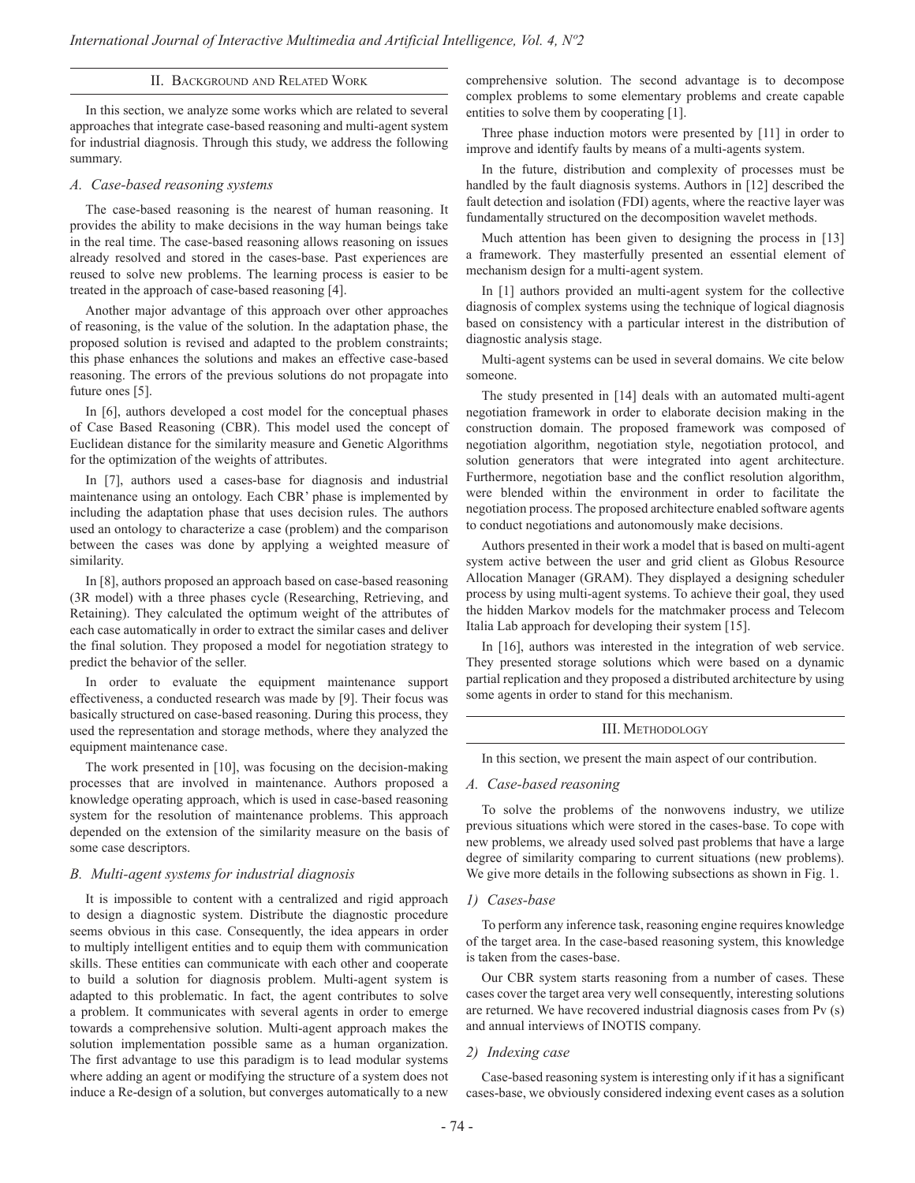### II. Background and Related Work

In this section, we analyze some works which are related to several approaches that integrate case-based reasoning and multi-agent system for industrial diagnosis. Through this study, we address the following summary.

#### *A. Case-based reasoning systems*

The case-based reasoning is the nearest of human reasoning. It provides the ability to make decisions in the way human beings take in the real time. The case-based reasoning allows reasoning on issues already resolved and stored in the cases-base. Past experiences are reused to solve new problems. The learning process is easier to be treated in the approach of case-based reasoning [4].

Another major advantage of this approach over other approaches of reasoning, is the value of the solution. In the adaptation phase, the proposed solution is revised and adapted to the problem constraints; this phase enhances the solutions and makes an effective case-based reasoning. The errors of the previous solutions do not propagate into future ones [5].

In [6], authors developed a cost model for the conceptual phases of Case Based Reasoning (CBR). This model used the concept of Euclidean distance for the similarity measure and Genetic Algorithms for the optimization of the weights of attributes.

In [7], authors used a cases-base for diagnosis and industrial maintenance using an ontology. Each CBR' phase is implemented by including the adaptation phase that uses decision rules. The authors used an ontology to characterize a case (problem) and the comparison between the cases was done by applying a weighted measure of similarity.

In [8], authors proposed an approach based on case-based reasoning (3R model) with a three phases cycle (Researching, Retrieving, and Retaining). They calculated the optimum weight of the attributes of each case automatically in order to extract the similar cases and deliver the final solution. They proposed a model for negotiation strategy to predict the behavior of the seller.

In order to evaluate the equipment maintenance support effectiveness, a conducted research was made by [9]. Their focus was basically structured on case-based reasoning. During this process, they used the representation and storage methods, where they analyzed the equipment maintenance case.

The work presented in [10], was focusing on the decision-making processes that are involved in maintenance. Authors proposed a knowledge operating approach, which is used in case-based reasoning system for the resolution of maintenance problems. This approach depended on the extension of the similarity measure on the basis of some case descriptors.

#### *B. Multi-agent systems for industrial diagnosis*

It is impossible to content with a centralized and rigid approach to design a diagnostic system. Distribute the diagnostic procedure seems obvious in this case. Consequently, the idea appears in order to multiply intelligent entities and to equip them with communication skills. These entities can communicate with each other and cooperate to build a solution for diagnosis problem. Multi-agent system is adapted to this problematic. In fact, the agent contributes to solve a problem. It communicates with several agents in order to emerge towards a comprehensive solution. Multi-agent approach makes the solution implementation possible same as a human organization. The first advantage to use this paradigm is to lead modular systems where adding an agent or modifying the structure of a system does not induce a Re-design of a solution, but converges automatically to a new

comprehensive solution. The second advantage is to decompose complex problems to some elementary problems and create capable entities to solve them by cooperating [1].

Three phase induction motors were presented by [11] in order to improve and identify faults by means of a multi-agents system.

In the future, distribution and complexity of processes must be handled by the fault diagnosis systems. Authors in [12] described the fault detection and isolation (FDI) agents, where the reactive layer was fundamentally structured on the decomposition wavelet methods.

Much attention has been given to designing the process in [13] a framework. They masterfully presented an essential element of mechanism design for a multi-agent system.

In [1] authors provided an multi-agent system for the collective diagnosis of complex systems using the technique of logical diagnosis based on consistency with a particular interest in the distribution of diagnostic analysis stage.

Multi-agent systems can be used in several domains. We cite below someone.

The study presented in [14] deals with an automated multi-agent negotiation framework in order to elaborate decision making in the construction domain. The proposed framework was composed of negotiation algorithm, negotiation style, negotiation protocol, and solution generators that were integrated into agent architecture. Furthermore, negotiation base and the conflict resolution algorithm, were blended within the environment in order to facilitate the negotiation process. The proposed architecture enabled software agents to conduct negotiations and autonomously make decisions.

Authors presented in their work a model that is based on multi-agent system active between the user and grid client as Globus Resource Allocation Manager (GRAM). They displayed a designing scheduler process by using multi-agent systems. To achieve their goal, they used the hidden Markov models for the matchmaker process and Telecom Italia Lab approach for developing their system [15].

In [16], authors was interested in the integration of web service. They presented storage solutions which were based on a dynamic partial replication and they proposed a distributed architecture by using some agents in order to stand for this mechanism.

## III. Methodology

In this section, we present the main aspect of our contribution.

#### *A. Case-based reasoning*

To solve the problems of the nonwovens industry, we utilize previous situations which were stored in the cases-base. To cope with new problems, we already used solved past problems that have a large degree of similarity comparing to current situations (new problems). We give more details in the following subsections as shown in Fig. 1.

#### *1) Cases-base*

To perform any inference task, reasoning engine requires knowledge of the target area. In the case-based reasoning system, this knowledge is taken from the cases-base.

Our CBR system starts reasoning from a number of cases. These cases cover the target area very well consequently, interesting solutions are returned. We have recovered industrial diagnosis cases from Pv (s) and annual interviews of INOTIS company.

#### *2) Indexing case*

Case-based reasoning system is interesting only if it has a significant cases-base, we obviously considered indexing event cases as a solution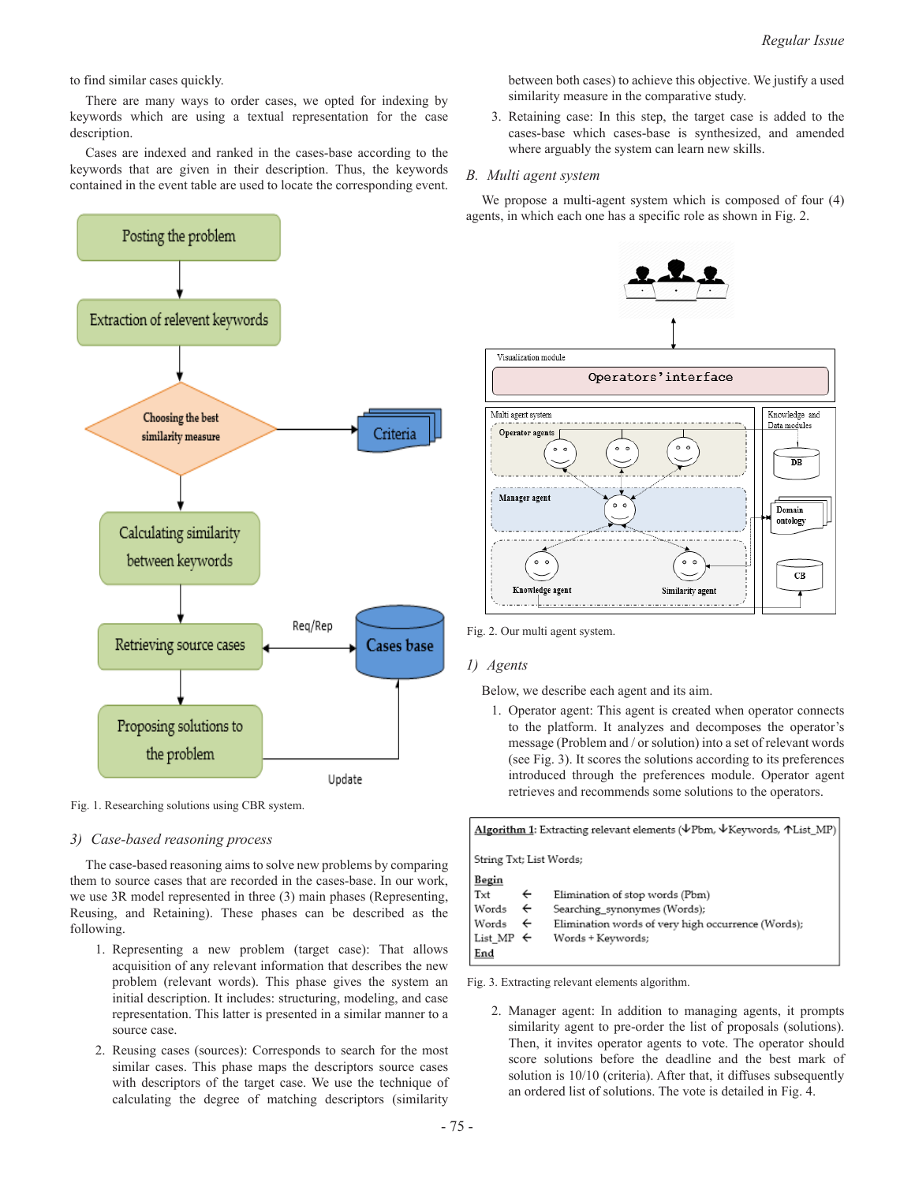to find similar cases quickly.

There are many ways to order cases, we opted for indexing by keywords which are using a textual representation for the case description.

Cases are indexed and ranked in the cases-base according to the keywords that are given in their description. Thus, the keywords contained in the event table are used to locate the corresponding event.



Fig. 1. Researching solutions using CBR system.

## *3) Case-based reasoning process*

The case-based reasoning aims to solve new problems by comparing them to source cases that are recorded in the cases-base. In our work, we use 3R model represented in three (3) main phases (Representing, Reusing, and Retaining). These phases can be described as the following.

- 1. Representing a new problem (target case): That allows acquisition of any relevant information that describes the new problem (relevant words). This phase gives the system an initial description. It includes: structuring, modeling, and case representation. This latter is presented in a similar manner to a source case.
- 2. Reusing cases (sources): Corresponds to search for the most similar cases. This phase maps the descriptors source cases with descriptors of the target case. We use the technique of calculating the degree of matching descriptors (similarity

between both cases) to achieve this objective. We justify a used similarity measure in the comparative study.

3. Retaining case: In this step, the target case is added to the cases-base which cases-base is synthesized, and amended where arguably the system can learn new skills.

# *B. Multi agent system*

We propose a multi-agent system which is composed of four  $(4)$ agents, in which each one has a specific role as shown in Fig. 2.



Fig. 2. Our multi agent system.

# *1) Agents*

Below, we describe each agent and its aim.

1. Operator agent: This agent is created when operator connects to the platform. It analyzes and decomposes the operator's message (Problem and / or solution) into a set of relevant words (see Fig. 3). It scores the solutions according to its preferences introduced through the preferences module. Operator agent retrieves and recommends some solutions to the operators.

| Algorithm 1: Extracting relevant elements ( $\forall$ Pbm, $\forall$ Keywords, $\land$ List_MP) |              |                                                    |  |  |  |
|-------------------------------------------------------------------------------------------------|--------------|----------------------------------------------------|--|--|--|
| String Txt; List Words;                                                                         |              |                                                    |  |  |  |
| Begin                                                                                           |              |                                                    |  |  |  |
| Txt                                                                                             | ←            | Elimination of stop words (Pbm)                    |  |  |  |
| Words                                                                                           | $\leftarrow$ | Searching synonymes (Words);                       |  |  |  |
| Words                                                                                           | $\leftarrow$ | Elimination words of very high occurrence (Words); |  |  |  |
| List MP $\leftarrow$                                                                            |              | Words + Keywords;                                  |  |  |  |
| End                                                                                             |              |                                                    |  |  |  |

Fig. 3. Extracting relevant elements algorithm.

2. Manager agent: In addition to managing agents, it prompts similarity agent to pre-order the list of proposals (solutions). Then, it invites operator agents to vote. The operator should score solutions before the deadline and the best mark of solution is 10/10 (criteria). After that, it diffuses subsequently an ordered list of solutions. The vote is detailed in Fig. 4.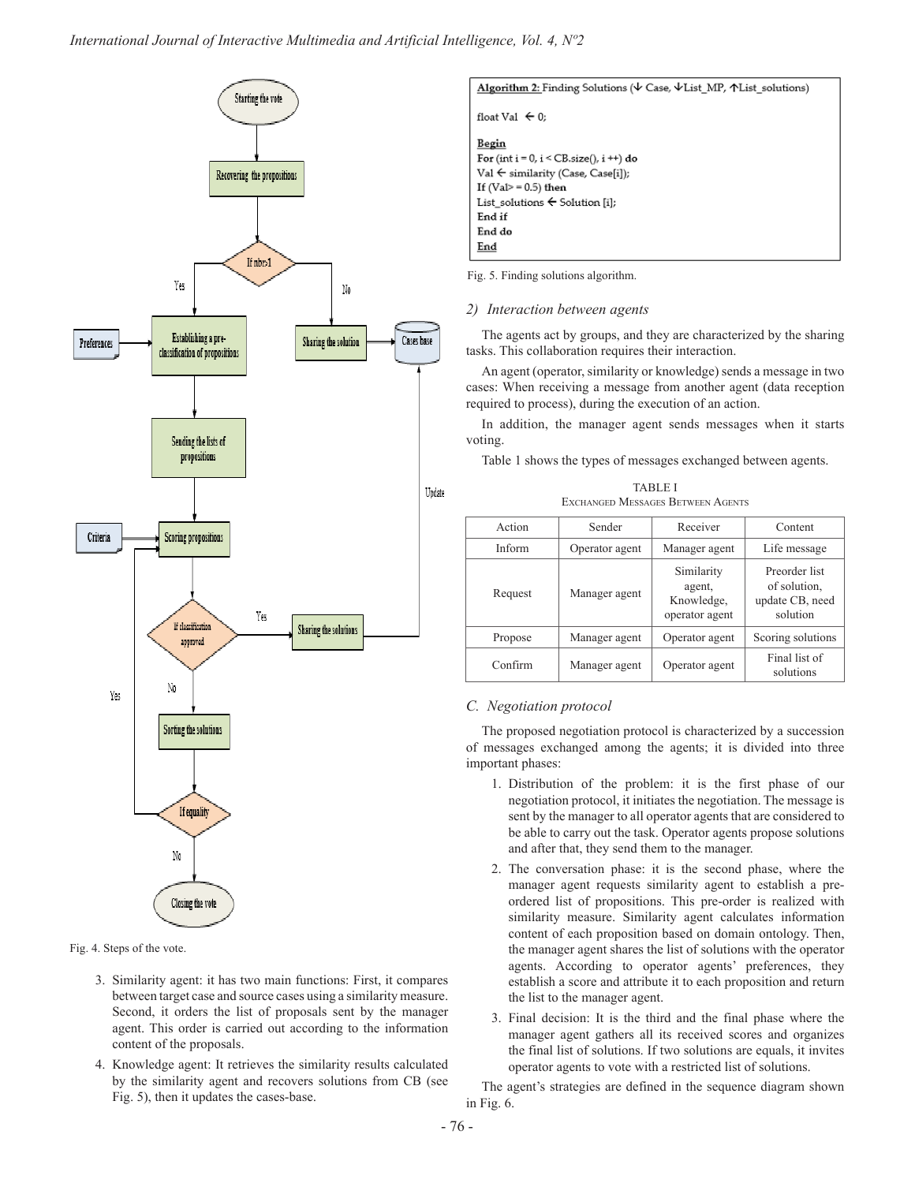

Fig. 4. Steps of the vote.

- 3. Similarity agent: it has two main functions: First, it compares between target case and source cases using a similarity measure. Second, it orders the list of proposals sent by the manager agent. This order is carried out according to the information content of the proposals.
- 4. Knowledge agent: It retrieves the similarity results calculated by the similarity agent and recovers solutions from CB (see Fig. 5), then it updates the cases-base.



Fig. 5. Finding solutions algorithm.

# *2) Interaction between agents*

The agents act by groups, and they are characterized by the sharing tasks. This collaboration requires their interaction.

An agent (operator, similarity or knowledge) sends a message in two cases: When receiving a message from another agent (data reception required to process), during the execution of an action.

In addition, the manager agent sends messages when it starts voting.

Table 1 shows the types of messages exchanged between agents.

| <b>TABLE I</b> |  |                                   |  |  |
|----------------|--|-----------------------------------|--|--|
|                |  | EXCHANGED MESSAGES BETWEEN AGENTS |  |  |

| Action  | Sender         | Receiver                                             | Content                                                      |
|---------|----------------|------------------------------------------------------|--------------------------------------------------------------|
| Inform  | Operator agent | Manager agent                                        | Life message                                                 |
| Request | Manager agent  | Similarity<br>agent,<br>Knowledge,<br>operator agent | Preorder list<br>of solution,<br>update CB, need<br>solution |
| Propose | Manager agent  | Operator agent                                       | Scoring solutions                                            |
| Confirm | Manager agent  | Operator agent                                       | Final list of<br>solutions                                   |

# *C. Negotiation protocol*

The proposed negotiation protocol is characterized by a succession of messages exchanged among the agents; it is divided into three important phases:

- 1. Distribution of the problem: it is the first phase of our negotiation protocol, it initiates the negotiation. The message is sent by the manager to all operator agents that are considered to be able to carry out the task. Operator agents propose solutions and after that, they send them to the manager.
- 2. The conversation phase: it is the second phase, where the manager agent requests similarity agent to establish a preordered list of propositions. This pre-order is realized with similarity measure. Similarity agent calculates information content of each proposition based on domain ontology. Then, the manager agent shares the list of solutions with the operator agents. According to operator agents' preferences, they establish a score and attribute it to each proposition and return the list to the manager agent.
- 3. Final decision: It is the third and the final phase where the manager agent gathers all its received scores and organizes the final list of solutions. If two solutions are equals, it invites operator agents to vote with a restricted list of solutions.

The agent's strategies are defined in the sequence diagram shown in Fig. 6.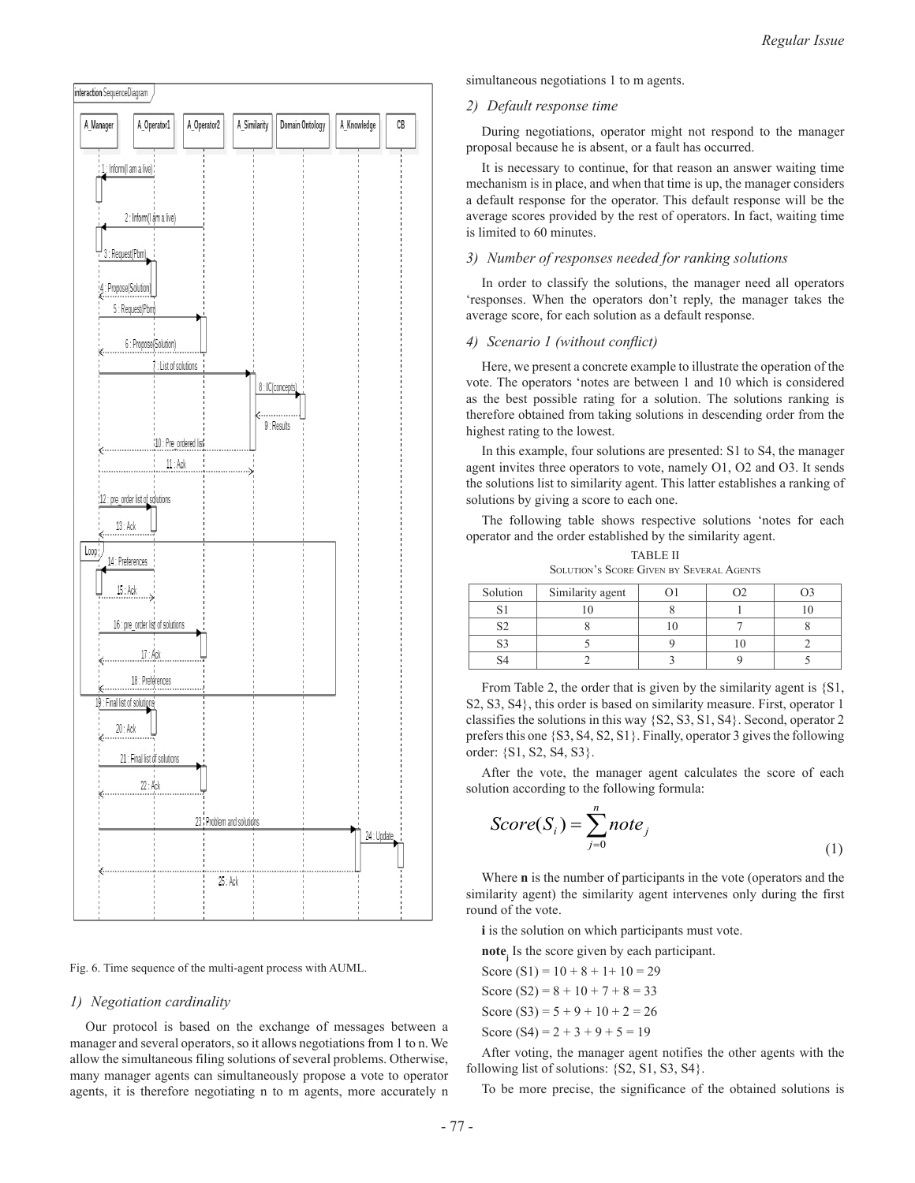

Fig. 6. Time sequence of the multi-agent process with AUML.

# *1) Negotiation cardinality*

Our protocol is based on the exchange of messages between a manager and several operators, so it allows negotiations from 1 to n. We allow the simultaneous filing solutions of several problems. Otherwise, many manager agents can simultaneously propose a vote to operator agents, it is therefore negotiating n to m agents, more accurately n simultaneous negotiations 1 to m agents.

# *2) Default response time*

During negotiations, operator might not respond to the manager proposal because he is absent, or a fault has occurred.

It is necessary to continue, for that reason an answer waiting time mechanism is in place, and when that time is up, the manager considers a default response for the operator. This default response will be the average scores provided by the rest of operators. In fact, waiting time is limited to 60 minutes.

# *3) Number of responses needed for ranking solutions*

In order to classify the solutions, the manager need all operators 'responses. When the operators don't reply, the manager takes the average score, for each solution as a default response.

#### *4) Scenario 1 (without conflict)*

Here, we present a concrete example to illustrate the operation of the vote. The operators 'notes are between 1 and 10 which is considered as the best possible rating for a solution. The solutions ranking is therefore obtained from taking solutions in descending order from the highest rating to the lowest.

In this example, four solutions are presented: S1 to S4, the manager agent invites three operators to vote, namely O1, O2 and O3. It sends the solutions list to similarity agent. This latter establishes a ranking of solutions by giving a score to each one.

The following table shows respective solutions 'notes for each operator and the order established by the similarity agent. TABLE II

| TABLE II<br><b>SOLUTION'S SCORE GIVEN BY SEVERAL AGENTS</b> |                  |  |  |   |
|-------------------------------------------------------------|------------------|--|--|---|
| Solution                                                    | Similarity agent |  |  |   |
|                                                             |                  |  |  | 0 |

 $S2 \t 8 \t 10 \t 7 \t 8$ S3 5 9 10 2

 $S4$  | 2 | 3 | 9 | 5 From Table 2, the order that is given by the similarity agent is {S1, S2, S3, S4}, this order is based on similarity measure. First, operator 1 classifies the solutions in this way {S2, S3, S1, S4}. Second, operator 2 prefers this one {S3, S4, S2, S1}. Finally, operator 3 gives the following order: {S1, S2, S4, S3}.

After the vote, the manager agent calculates the score of each solution according to the following formula:

$$
Score(S_i) = \sum_{j=0}^{n} note_j
$$
\n(1)

Where **n** is the number of participants in the vote (operators and the similarity agent) the similarity agent intervenes only during the first round of the vote.

**i** is the solution on which participants must vote.

**notej** Is the score given by each participant.

Score  $(S1) = 10 + 8 + 1 + 10 = 29$ Score (S2) =  $8 + 10 + 7 + 8 = 33$ Score (S3) =  $5 + 9 + 10 + 2 = 26$ Score (S4) =  $2 + 3 + 9 + 5 = 19$ 

After voting, the manager agent notifies the other agents with the following list of solutions: {S2, S1, S3, S4}.

To be more precise, the significance of the obtained solutions is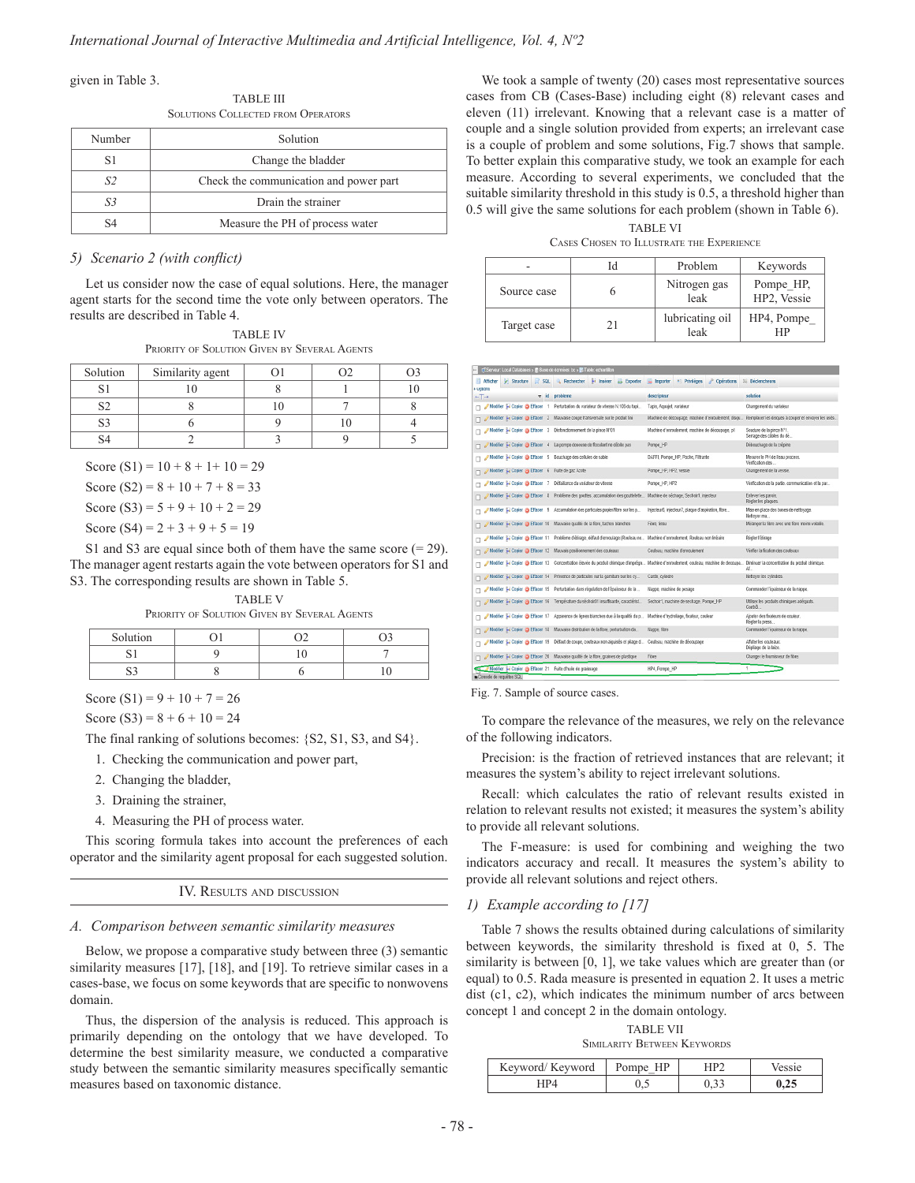given in Table 3.

TABLE III Solutions Collected from Operators

| Number | Solution                               |  |
|--------|----------------------------------------|--|
| S1     | Change the bladder                     |  |
| S2     | Check the communication and power part |  |
| 83     | Drain the strainer                     |  |
| 94     | Measure the PH of process water        |  |

## *5) Scenario 2 (with conflict)*

Let us consider now the case of equal solutions. Here, the manager agent starts for the second time the vote only between operators. The results are described in Table 4.

TABLE IV Priority of Solution Given by Several Agents

| Solution | Similarity agent |  |  |
|----------|------------------|--|--|
|          |                  |  |  |
|          |                  |  |  |
|          |                  |  |  |
|          |                  |  |  |

Score  $(S1) = 10 + 8 + 1 + 10 = 29$ 

Score (S2) =  $8 + 10 + 7 + 8 = 33$ 

Score (S3) =  $5 + 9 + 10 + 2 = 29$ 

Score (S4) =  $2 + 3 + 9 + 5 = 19$ 

S1 and S3 are equal since both of them have the same score  $(= 29)$ . The manager agent restarts again the vote between operators for S1 and S3. The corresponding results are shown in Table 5.

TABLE V Priority of Solution Given by Several Agents

| Solution |  |  |
|----------|--|--|
|          |  |  |
|          |  |  |

Score  $(S1) = 9 + 10 + 7 = 26$ 

Score (S3) =  $8 + 6 + 10 = 24$ 

The final ranking of solutions becomes: {S2, S1, S3, and S4}.

1. Checking the communication and power part,

- 2. Changing the bladder,
- 3. Draining the strainer,
- 4. Measuring the PH of process water.

This scoring formula takes into account the preferences of each operator and the similarity agent proposal for each suggested solution.

IV. Results and discussion

# *A. Comparison between semantic similarity measures*

Below, we propose a comparative study between three (3) semantic similarity measures [17], [18], and [19]. To retrieve similar cases in a cases-base, we focus on some keywords that are specific to nonwovens domain.

Thus, the dispersion of the analysis is reduced. This approach is primarily depending on the ontology that we have developed. To determine the best similarity measure, we conducted a comparative study between the semantic similarity measures specifically semantic measures based on taxonomic distance.

We took a sample of twenty (20) cases most representative sources cases from CB (Cases-Base) including eight (8) relevant cases and eleven (11) irrelevant. Knowing that a relevant case is a matter of couple and a single solution provided from experts; an irrelevant case is a couple of problem and some solutions, Fig.7 shows that sample. To better explain this comparative study, we took an example for each measure. According to several experiments, we concluded that the suitable similarity threshold in this study is 0.5, a threshold higher than 0.5 will give the same solutions for each problem (shown in Table 6).

TARI E VI Cases Chosen to Illustrate the Experience

|             |    | Problem                 | Keywords                 |
|-------------|----|-------------------------|--------------------------|
| Source case |    | Nitrogen gas<br>leak    | Pompe HP,<br>HP2, Vessie |
| Target case | 21 | lubricating oil<br>leak | HP4, Pompe<br>НP         |

| CiServour. Local Databases > ■ Base de données: bc > ■ Table: echaniilon              |                                                                                       |                                                                                                                                        |                                                       |
|---------------------------------------------------------------------------------------|---------------------------------------------------------------------------------------|----------------------------------------------------------------------------------------------------------------------------------------|-------------------------------------------------------|
| Afficher<br><b>V</b> Structure                                                        | SQL - Rechercher a inserer - Exporter                                                 | Importer * Privilèges a Opérations                                                                                                     | 30 Declencheurs                                       |
| + Uptions<br>$-T \rightarrow$                                                         | v id probleme                                                                         | descripteur                                                                                                                            | solution                                              |
|                                                                                       | Modifier 34 Copier @ Effacer 1 Perfurbation du variateur de vitesse N.106 du tapi     | Tapis, Aquaiel, variateur                                                                                                              | Changement du variateur                               |
|                                                                                       | Modifier 34 Copier @ Effacer 2 Mauvaise coupe transversale sur le produit fini        | Machine de découpage, machine d'enroulement, disqu                                                                                     | Remplacer les disques à couper et envoyer les usés    |
| Modifier 34 Copier & Effacer 3 Disfonctionnement de la pince N°01                     |                                                                                       | Machine d'enroulement, machine de découpage, p1                                                                                        | Soudure de la pince Nº1.<br>Serrage des câbles du dé  |
|                                                                                       | Modifier 34 Copier @ Effacer 4 La pompe deseuse de floculant ne débite pas            | Pompe HP                                                                                                                               | Débouchage de la crépine                              |
| Modifier 34 Copier @ Effacer 5 Bouchage des cellules de sable                         |                                                                                       | DAFFI, Pompe HP, Poche, Filtrante                                                                                                      | Mesurer le PH de l'eau process.<br>Verification des   |
| Modifier # Copier @ Effacer 6 Fulle de gaz Azote                                      |                                                                                       | Pompe HP, HP2, vessie                                                                                                                  | Changement de la vessie.                              |
| / Modifier Si Copier & Effacer 7 Défaillance du variateur de vitesse                  |                                                                                       | Pompe HP, HP2                                                                                                                          | Vérification de la partie, communication et la par    |
|                                                                                       | Modifier 34 Copier C Effacer 8 Problème des gouttes, accumulation des gouttelette     | Machine de sechage, Sechoir1, injecteur                                                                                                | Enlever les parois.<br>Régler les plaques.            |
|                                                                                       | /Modifier ## Copier @ Effacer 9 Accumulation des particules papientibre sur les p     | Injecteur6, injecteur7, plaque d'aspiration, fibre                                                                                     | Mise en place des buses de nettoyage.<br>Nettoyer ma. |
|                                                                                       | / Modifier ## Copier @ Effacer 10 Mauvaise qualité de la fibre, taches blanches       | Fibre, fissu                                                                                                                           | Mélanger la fibre avec une fibre moins volatile.      |
|                                                                                       | / Modifier 34 Copier @ Effacer 11 Problème d'étirage, défaut d'enroulage (Rouleau no. | Machine d'enroulement, Rouleau non linéaire                                                                                            | Régier l'éfrage                                       |
| Modifier 34 Copier @ Effacer 12 Mauvais positionnement des couteaux                   |                                                                                       | Couteau, machine d'enroulement                                                                                                         | Verifier la fication des couteaux                     |
|                                                                                       |                                                                                       | Modifier ## Copier @ Effacer 13 Concentration élevée du produit chimique d'imprégn Machine d'enroulement, couteau, machine de decoupa. | Diminuer la concentration du produit chimique.<br>AL. |
|                                                                                       | Modifier 34 Copier @ Effacer 14 Présence de particules sur la gamiture sur les cy     | Carde, cylindre                                                                                                                        | Nettoyer les cylindres.                               |
|                                                                                       | / Modifier 34 Copier @ Effacer 15 Perturbation dans regulation de l'épaisseur de la   | Nappe, machine de pesage                                                                                                               | Commander l'épaisseur de la nappe.                    |
|                                                                                       | Modifier 34 Copier @ Effacer 16 Température du séchoir01 insuffisante, caractérist    | Sechoir1, machine de sechage, Pompe HP                                                                                                 | Utiliser les produits chimiques adéquats.<br>Contrôl  |
|                                                                                       | Modifier 3-i Copier @ Effacer 17 Apparence de lignes blanches due à la qualité du p   | Machine d'hydroliage, fixateur, couleur                                                                                                | Ajouter des fixateurs de couleur.<br>Regier la press  |
|                                                                                       | Modifier 3 Copier @ Effacer 18 Mauvaise distribution de la fibre, perturbation da     | Nappe, fibre                                                                                                                           | Commander l'épaisseur de la nappe.                    |
|                                                                                       | Modifier 54 Copier @ Effacer 19 Défaut de coupe, couteaux non aiguisés et pliage d    | Couteau, machine de découpage                                                                                                          | Affater les couteaux.<br>Dépliage de la laize.        |
|                                                                                       | Modifier 34 Copier @ Effacer 20 Mauvaise qualité de la fibre, graines de plastique    | Fibre                                                                                                                                  | Changer le fournisseur de fibre.                      |
| Modifier 34 Copier @ Effacer 21 Fulle d'huile de graissage<br>Console de requêtes SOL |                                                                                       | HP4, Pompe HP                                                                                                                          | $\sigma$                                              |

Fig. 7. Sample of source cases.

To compare the relevance of the measures, we rely on the relevance of the following indicators.

Precision: is the fraction of retrieved instances that are relevant; it measures the system's ability to reject irrelevant solutions.

Recall: which calculates the ratio of relevant results existed in relation to relevant results not existed; it measures the system's ability to provide all relevant solutions.

The F-measure: is used for combining and weighing the two indicators accuracy and recall. It measures the system's ability to provide all relevant solutions and reject others.

# *1) Example according to [17]*

Table 7 shows the results obtained during calculations of similarity between keywords, the similarity threshold is fixed at 0, 5. The similarity is between [0, 1], we take values which are greater than (or equal) to 0.5. Rada measure is presented in equation 2. It uses a metric dist (c1, c2), which indicates the minimum number of arcs between concept 1 and concept 2 in the domain ontology.

TABLE VII Similarity Between Keywords

| Keyword/Keyword | $n_{\theta}$ |  |
|-----------------|--------------|--|
|                 |              |  |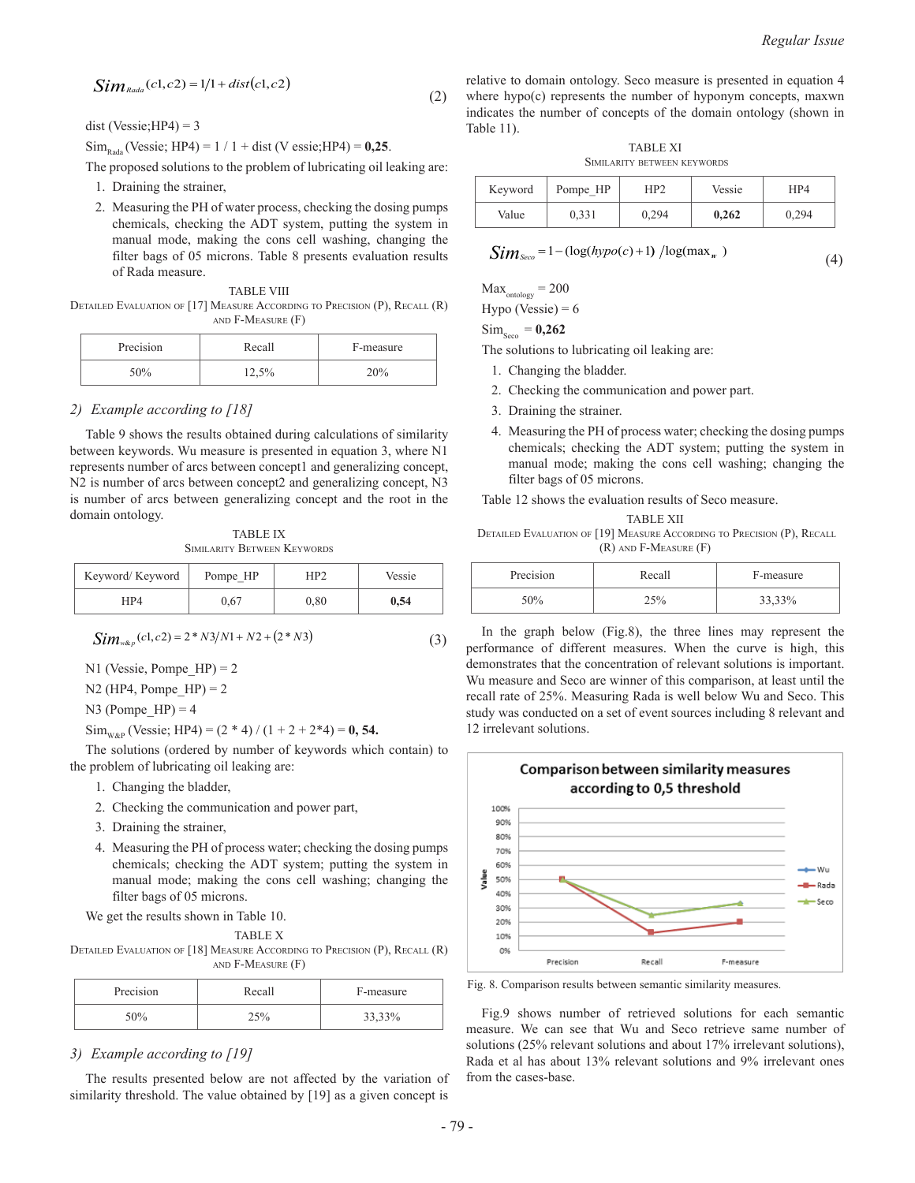$$
Sim_{\text{Rada}}(c1, c2) = 1/1 + dist(c1, c2)
$$
\n(2)

dist (Vessie;  $HP4$ ) = 3

 $Sim_{\text{Rada}}$  (Vessie; HP4) = 1 / 1 + dist (V essie; HP4) = 0,25.

The proposed solutions to the problem of lubricating oil leaking are: 1. Draining the strainer,

- 
- 2. Measuring the PH of water process, checking the dosing pumps chemicals, checking the ADT system, putting the system in manual mode, making the cons cell washing, changing the filter bags of 05 microns. Table 8 presents evaluation results of Rada measure.

TABLE VIII

DETAILED EVALUATION OF [17] MEASURE ACCORDING TO PRECISION (P), RECALL (R) and F-Measure (F)

| Precision | Recall | F-measure |
|-----------|--------|-----------|
| 50%       | 12,5%  | 20%       |

### *2) Example according to [18]*

Table 9 shows the results obtained during calculations of similarity between keywords. Wu measure is presented in equation 3, where N1 represents number of arcs between concept1 and generalizing concept, N2 is number of arcs between concept2 and generalizing concept, N3 is number of arcs between generalizing concept and the root in the domain ontology.

TABLE IX Similarity Between Keywords

| Keyword/Keyword | Pompe HP | TD   | Vessie |
|-----------------|----------|------|--------|
| HP4             | J.67     | 0.80 | 0.54   |

$$
Sim_{w\&p}(c1, c2) = 2 * N3/N1 + N2 + (2 * N3)
$$
\n(3)

N1 (Vessie, Pompe  $HP$ ) = 2

N2 (HP4, Pompe  $HP$ ) = 2

N3 (Pompe  $HP$ ) = 4

 $\text{Sim}_{\text{WAP}}$  (Vessie; HP4) =  $(2 * 4) / (1 + 2 + 2 * 4) = 0, 54$ .

The solutions (ordered by number of keywords which contain) to the problem of lubricating oil leaking are:

- 1. Changing the bladder,
- 2. Checking the communication and power part,
- 3. Draining the strainer,
- 4. Measuring the PH of process water; checking the dosing pumps chemicals; checking the ADT system; putting the system in manual mode; making the cons cell washing; changing the filter bags of 05 microns.

We get the results shown in Table 10.

TABLE X

DETAILED EVALUATION OF [18] MEASURE ACCORDING TO PRECISION (P), RECALL (R) and F-Measure (F)

| Precision | Recall | F-measure |
|-----------|--------|-----------|
| 50%       | 25%    | 33,33%    |

# *3) Example according to [19]*

The results presented below are not affected by the variation of similarity threshold. The value obtained by [19] as a given concept is

relative to domain ontology. Seco measure is presented in equation 4 where hypo(c) represents the number of hyponym concepts, maxwn indicates the number of concepts of the domain ontology (shown in Table 11).

TABLE XI Similarity between keywords

| Keyword | Pompe_HP | HP2   | Vessie | HP4   |
|---------|----------|-------|--------|-------|
| Value   | 0,331    | 0,294 | 0,262  | 0,294 |

$$
Sim_{\text{Seco}} = 1 - (\log(hypo(c) + 1) / \log(\max_{w})
$$
\n(4)

 $Max_{\text{ontology}} = 200$ 

Hypo (Vessie) =  $6$ 

 $\text{Sim}_{\text{same}} = 0,262$ 

The solutions to lubricating oil leaking are:

- 1. Changing the bladder.
- 2. Checking the communication and power part.
- 3. Draining the strainer.
- 4. Measuring the PH of process water; checking the dosing pumps chemicals; checking the ADT system; putting the system in manual mode; making the cons cell washing; changing the filter bags of 05 microns.

Table 12 shows the evaluation results of Seco measure.

TABLE XII

Detailed Evaluation of [19] Measure According to Precision (P), Recall (R) and F-Measure (F)

| Precision | Recall | F-measure |
|-----------|--------|-----------|
| :00/      |        | 33.33%    |

In the graph below (Fig.8), the three lines may represent the performance of different measures. When the curve is high, this demonstrates that the concentration of relevant solutions is important. Wu measure and Seco are winner of this comparison, at least until the recall rate of 25%. Measuring Rada is well below Wu and Seco. This study was conducted on a set of event sources including 8 relevant and 12 irrelevant solutions.



Fig. 8. Comparison results between semantic similarity measures.

Fig.9 shows number of retrieved solutions for each semantic measure. We can see that Wu and Seco retrieve same number of solutions (25% relevant solutions and about 17% irrelevant solutions), Rada et al has about 13% relevant solutions and 9% irrelevant ones from the cases-base.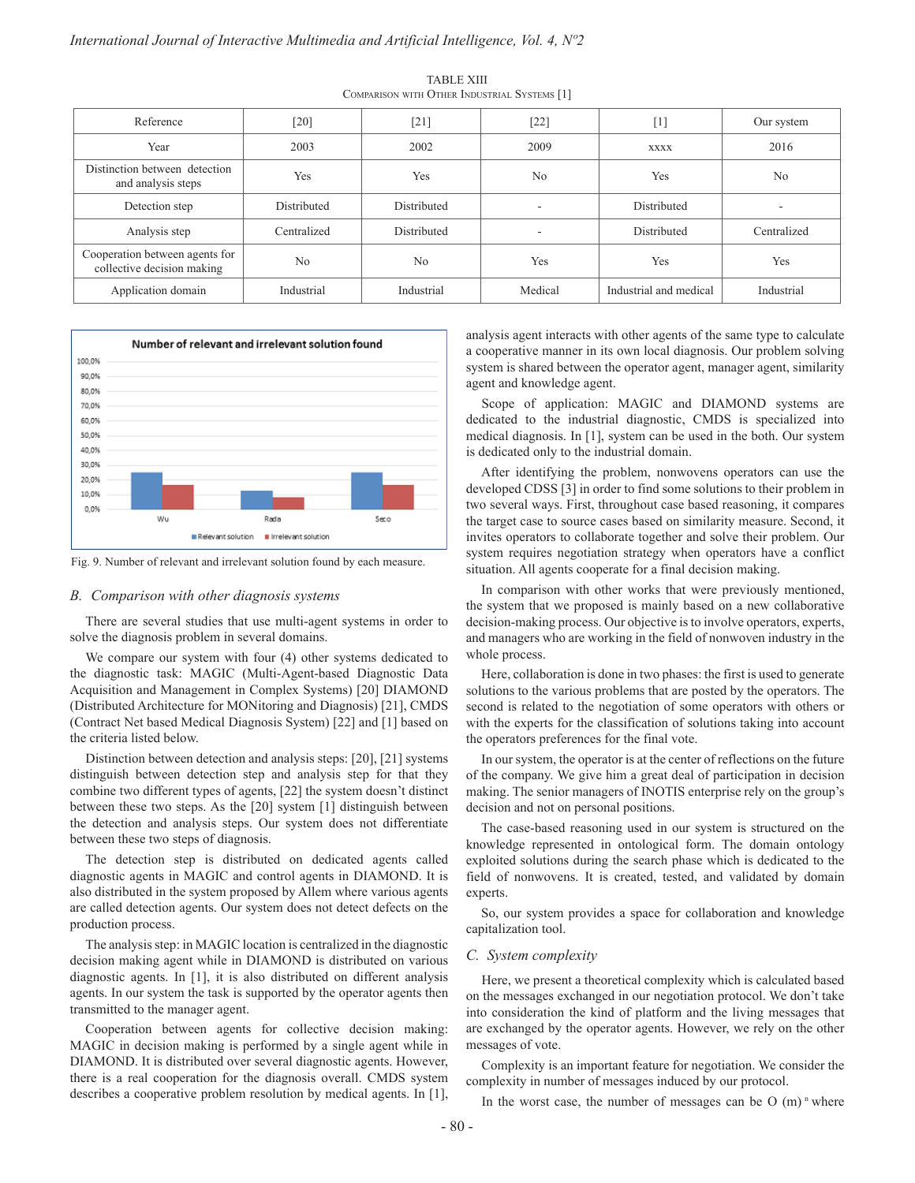| Reference                                                    | [20]        | $[21]$      | $[22]$         | $[1] % \includegraphics[width=0.9\columnwidth]{figures/fig_10.pdf} \caption{The graph $\mathcal{N}_1$ is a function of the number of~\textit{N}_1$ (left) and the number of~\textit{N}_2$ (right) are shown in \cite{N}_1$ (right).} \label{fig:1}$ | Our system     |
|--------------------------------------------------------------|-------------|-------------|----------------|-----------------------------------------------------------------------------------------------------------------------------------------------------------------------------------------------------------------------------------------------------|----------------|
| Year                                                         | 2003        | 2002        | 2009           | <b>XXXX</b>                                                                                                                                                                                                                                         | 2016           |
| Distinction between detection<br>and analysis steps          | Yes         | Yes         | N <sub>0</sub> | Yes                                                                                                                                                                                                                                                 | N <sub>0</sub> |
| Detection step                                               | Distributed | Distributed | ۰              | Distributed                                                                                                                                                                                                                                         |                |
| Analysis step                                                | Centralized | Distributed |                | Distributed                                                                                                                                                                                                                                         | Centralized    |
| Cooperation between agents for<br>collective decision making | No          | No          | Yes            | Yes                                                                                                                                                                                                                                                 | Yes            |
| Application domain                                           | Industrial  | Industrial  | Medical        | Industrial and medical                                                                                                                                                                                                                              | Industrial     |

TABLE XIII Comparison with Other Industrial Systems [1]



Fig. 9. Number of relevant and irrelevant solution found by each measure.

#### *B. Comparison with other diagnosis systems*

There are several studies that use multi-agent systems in order to solve the diagnosis problem in several domains.

We compare our system with four (4) other systems dedicated to the diagnostic task: MAGIC (Multi-Agent-based Diagnostic Data Acquisition and Management in Complex Systems) [20] DIAMOND (Distributed Architecture for MONitoring and Diagnosis) [21], CMDS (Contract Net based Medical Diagnosis System) [22] and [1] based on the criteria listed below.

Distinction between detection and analysis steps: [20], [21] systems distinguish between detection step and analysis step for that they combine two different types of agents, [22] the system doesn't distinct between these two steps. As the [20] system [1] distinguish between the detection and analysis steps. Our system does not differentiate between these two steps of diagnosis.

The detection step is distributed on dedicated agents called diagnostic agents in MAGIC and control agents in DIAMOND. It is also distributed in the system proposed by Allem where various agents are called detection agents. Our system does not detect defects on the production process.

The analysis step: in MAGIC location is centralized in the diagnostic decision making agent while in DIAMOND is distributed on various diagnostic agents. In [1], it is also distributed on different analysis agents. In our system the task is supported by the operator agents then transmitted to the manager agent.

Cooperation between agents for collective decision making: MAGIC in decision making is performed by a single agent while in DIAMOND. It is distributed over several diagnostic agents. However, there is a real cooperation for the diagnosis overall. CMDS system describes a cooperative problem resolution by medical agents. In [1], analysis agent interacts with other agents of the same type to calculate a cooperative manner in its own local diagnosis. Our problem solving system is shared between the operator agent, manager agent, similarity agent and knowledge agent.

Scope of application: MAGIC and DIAMOND systems are dedicated to the industrial diagnostic, CMDS is specialized into medical diagnosis. In [1], system can be used in the both. Our system is dedicated only to the industrial domain.

After identifying the problem, nonwovens operators can use the developed CDSS [3] in order to find some solutions to their problem in two several ways. First, throughout case based reasoning, it compares the target case to source cases based on similarity measure. Second, it invites operators to collaborate together and solve their problem. Our system requires negotiation strategy when operators have a conflict situation. All agents cooperate for a final decision making.

In comparison with other works that were previously mentioned, the system that we proposed is mainly based on a new collaborative decision-making process. Our objective is to involve operators, experts, and managers who are working in the field of nonwoven industry in the whole process.

Here, collaboration is done in two phases: the first is used to generate solutions to the various problems that are posted by the operators. The second is related to the negotiation of some operators with others or with the experts for the classification of solutions taking into account the operators preferences for the final vote.

In our system, the operator is at the center of reflections on the future of the company. We give him a great deal of participation in decision making. The senior managers of INOTIS enterprise rely on the group's decision and not on personal positions.

The case-based reasoning used in our system is structured on the knowledge represented in ontological form. The domain ontology exploited solutions during the search phase which is dedicated to the field of nonwovens. It is created, tested, and validated by domain experts.

So, our system provides a space for collaboration and knowledge capitalization tool.

## *C. System complexity*

Here, we present a theoretical complexity which is calculated based on the messages exchanged in our negotiation protocol. We don't take into consideration the kind of platform and the living messages that are exchanged by the operator agents. However, we rely on the other messages of vote.

Complexity is an important feature for negotiation. We consider the complexity in number of messages induced by our protocol.

In the worst case, the number of messages can be  $O(m)$ <sup>n</sup> where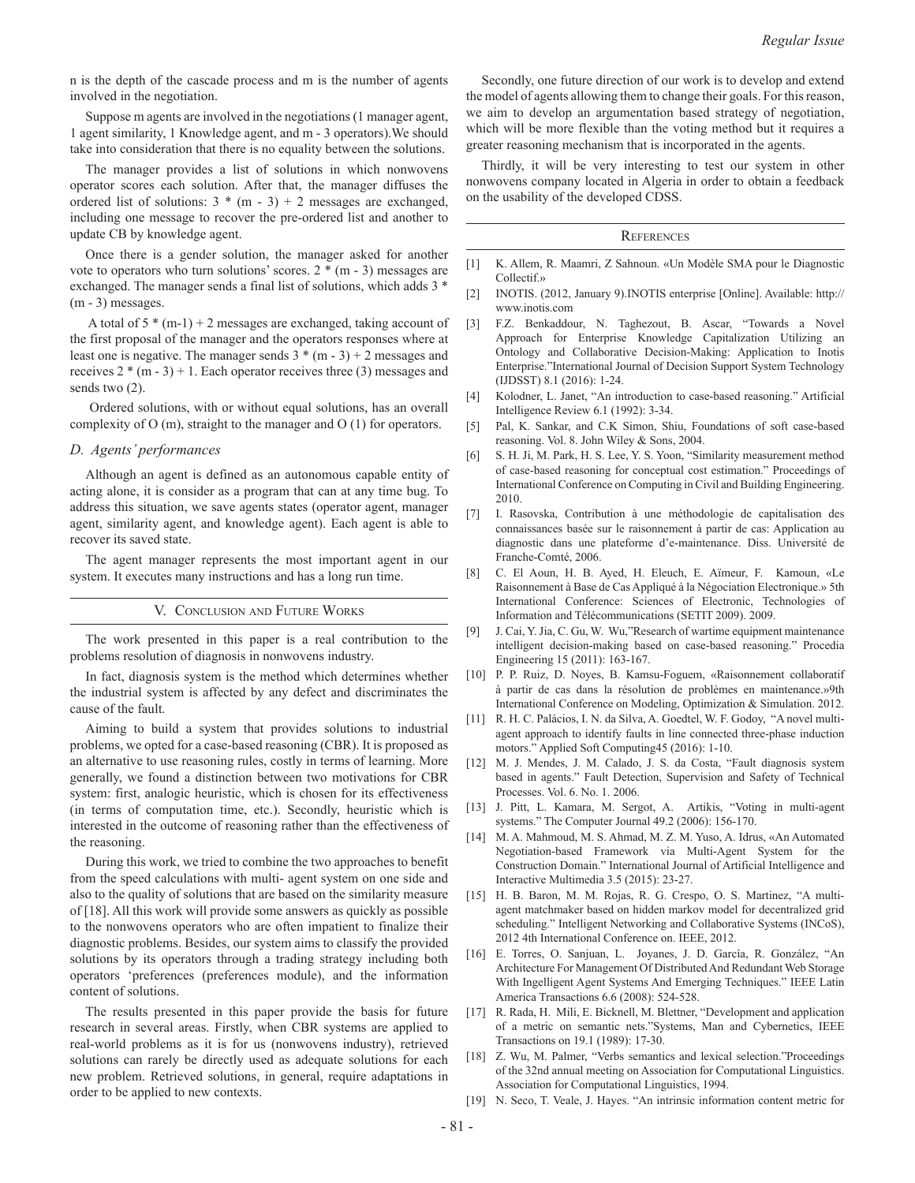n is the depth of the cascade process and m is the number of agents involved in the negotiation.

Suppose m agents are involved in the negotiations (1 manager agent, 1 agent similarity, 1 Knowledge agent, and m - 3 operators).We should take into consideration that there is no equality between the solutions.

The manager provides a list of solutions in which nonwovens operator scores each solution. After that, the manager diffuses the ordered list of solutions:  $3 * (m - 3) + 2$  messages are exchanged, including one message to recover the pre-ordered list and another to update CB by knowledge agent.

Once there is a gender solution, the manager asked for another vote to operators who turn solutions' scores.  $2 * (m - 3)$  messages are exchanged. The manager sends a final list of solutions, which adds 3 \* (m - 3) messages.

A total of  $5 * (m-1) + 2$  messages are exchanged, taking account of the first proposal of the manager and the operators responses where at least one is negative. The manager sends  $3 * (m - 3) + 2$  messages and receives  $2*(m-3)+1$ . Each operator receives three (3) messages and sends two (2).

Ordered solutions, with or without equal solutions, has an overall complexity of O (m), straight to the manager and O (1) for operators.

# *D. Agents' performances*

Although an agent is defined as an autonomous capable entity of acting alone, it is consider as a program that can at any time bug. To address this situation, we save agents states (operator agent, manager agent, similarity agent, and knowledge agent). Each agent is able to recover its saved state.

The agent manager represents the most important agent in our system. It executes many instructions and has a long run time.

V. Conclusion and Future Works

The work presented in this paper is a real contribution to the problems resolution of diagnosis in nonwovens industry.

In fact, diagnosis system is the method which determines whether the industrial system is affected by any defect and discriminates the cause of the fault.

Aiming to build a system that provides solutions to industrial problems, we opted for a case-based reasoning (CBR). It is proposed as an alternative to use reasoning rules, costly in terms of learning. More generally, we found a distinction between two motivations for CBR system: first, analogic heuristic, which is chosen for its effectiveness (in terms of computation time, etc.). Secondly, heuristic which is interested in the outcome of reasoning rather than the effectiveness of the reasoning.

During this work, we tried to combine the two approaches to benefit from the speed calculations with multi- agent system on one side and also to the quality of solutions that are based on the similarity measure of [18]. All this work will provide some answers as quickly as possible to the nonwovens operators who are often impatient to finalize their diagnostic problems. Besides, our system aims to classify the provided solutions by its operators through a trading strategy including both operators 'preferences (preferences module), and the information content of solutions.

The results presented in this paper provide the basis for future research in several areas. Firstly, when CBR systems are applied to real-world problems as it is for us (nonwovens industry), retrieved solutions can rarely be directly used as adequate solutions for each new problem. Retrieved solutions, in general, require adaptations in order to be applied to new contexts.

Secondly, one future direction of our work is to develop and extend the model of agents allowing them to change their goals. For this reason, we aim to develop an argumentation based strategy of negotiation, which will be more flexible than the voting method but it requires a greater reasoning mechanism that is incorporated in the agents.

Thirdly, it will be very interesting to test our system in other nonwovens company located in Algeria in order to obtain a feedback on the usability of the developed CDSS.

# **REFERENCES**

- [1] K. Allem, R. Maamri, Z Sahnoun. «Un Modèle SMA pour le Diagnostic Collectif.»
- [2] INOTIS. (2012, January 9).INOTIS enterprise [Online]. Available: http:// www.inotis.com
- [3] F.Z. Benkaddour, N. Taghezout, B. Ascar, "Towards a Novel Approach for Enterprise Knowledge Capitalization Utilizing an Ontology and Collaborative Decision-Making: Application to Inotis Enterprise."International Journal of Decision Support System Technology (IJDSST) 8.1 (2016): 1-24.
- [4] Kolodner, L. Janet, "An introduction to case-based reasoning." Artificial Intelligence Review 6.1 (1992): 3-34.
- [5] Pal, K. Sankar, and C.K Simon, Shiu, Foundations of soft case-based reasoning. Vol. 8. John Wiley & Sons, 2004.
- [6] S. H. Ji, M. Park, H. S. Lee, Y. S. Yoon, "Similarity measurement method of case-based reasoning for conceptual cost estimation." Proceedings of International Conference on Computing in Civil and Building Engineering. 2010.
- [7] I. Rasovska, Contribution à une méthodologie de capitalisation des connaissances basée sur le raisonnement à partir de cas: Application au diagnostic dans une plateforme d'e-maintenance. Diss. Université de Franche-Comté, 2006.
- [8] C. El Aoun, H. B. Ayed, H. Eleuch, E. Aïmeur, F. Kamoun, «Le Raisonnement à Base de Cas Appliqué à la Négociation Electronique.» 5th International Conference: Sciences of Electronic, Technologies of Information and Télécommunications (SETIT 2009). 2009.
- [9] J. Cai, Y. Jia, C. Gu, W. Wu,"Research of wartime equipment maintenance intelligent decision-making based on case-based reasoning." Procedia Engineering 15 (2011): 163-167.
- [10] P. P. Ruiz, D. Noyes, B. Kamsu-Foguem, «Raisonnement collaboratif à partir de cas dans la résolution de problèmes en maintenance.»9th International Conference on Modeling, Optimization & Simulation. 2012.
- [11] R. H. C. Palácios, I. N. da Silva, A. Goedtel, W. F. Godoy, "A novel multiagent approach to identify faults in line connected three-phase induction motors." Applied Soft Computing45 (2016): 1-10.
- [12] M. J. Mendes, J. M. Calado, J. S. da Costa, "Fault diagnosis system based in agents." Fault Detection, Supervision and Safety of Technical Processes. Vol. 6. No. 1. 2006.
- [13] J. Pitt, L. Kamara, M. Sergot, A. Artikis, "Voting in multi-agent systems." The Computer Journal 49.2 (2006): 156-170.
- [14] M. A. Mahmoud, M. S. Ahmad, M. Z. M. Yuso, A. Idrus, «An Automated Negotiation-based Framework via Multi-Agent System for the Construction Domain." International Journal of Artificial Intelligence and Interactive Multimedia 3.5 (2015): 23-27.
- [15] H. B. Baron, M. M. Rojas, R. G. Crespo, O. S. Martinez, "A multiagent matchmaker based on hidden markov model for decentralized grid scheduling." Intelligent Networking and Collaborative Systems (INCoS), 2012 4th International Conference on. IEEE, 2012.
- [16] E. Torres, O. Sanjuan, L. Joyanes, J. D. García, R. González, "An Architecture For Management Of Distributed And Redundant Web Storage With Ingelligent Agent Systems And Emerging Techniques." IEEE Latin America Transactions 6.6 (2008): 524-528.
- [17] R. Rada, H. Mili, E. Bicknell, M. Blettner, "Development and application of a metric on semantic nets."Systems, Man and Cybernetics, IEEE Transactions on 19.1 (1989): 17-30.
- [18] Z. Wu, M. Palmer, "Verbs semantics and lexical selection."Proceedings of the 32nd annual meeting on Association for Computational Linguistics. Association for Computational Linguistics, 1994.
- [19] N. Seco, T. Veale, J. Hayes. "An intrinsic information content metric for